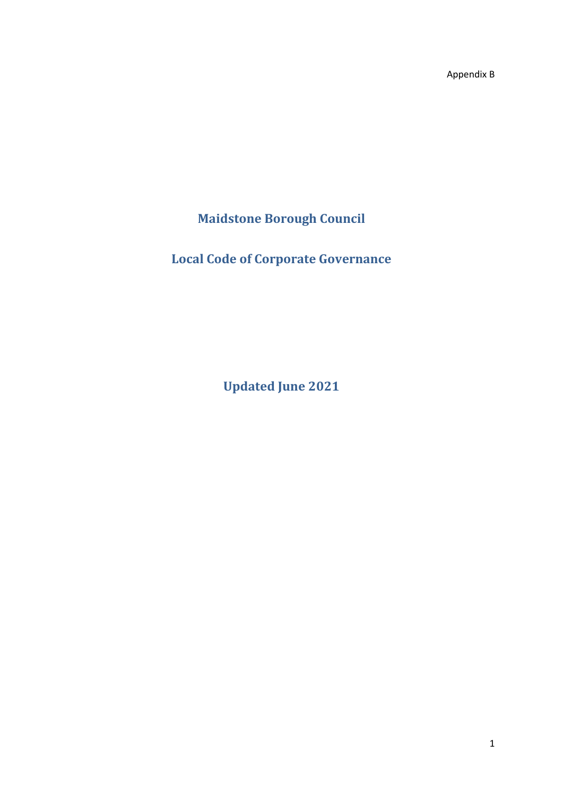Appendix B

**Maidstone Borough Council**

**Local Code of Corporate Governance**

**Updated June 2021**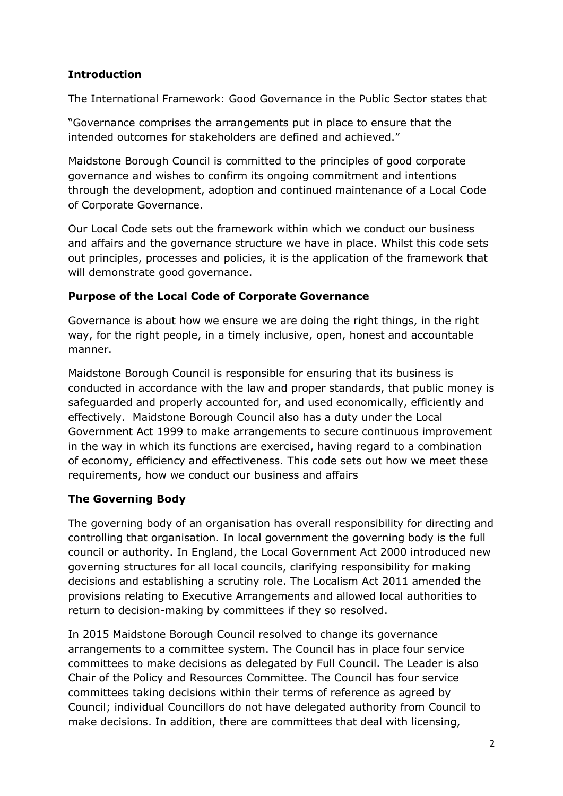### **Introduction**

The International Framework: Good Governance in the Public Sector states that

"Governance comprises the arrangements put in place to ensure that the intended outcomes for stakeholders are defined and achieved."

Maidstone Borough Council is committed to the principles of good corporate governance and wishes to confirm its ongoing commitment and intentions through the development, adoption and continued maintenance of a Local Code of Corporate Governance.

Our Local Code sets out the framework within which we conduct our business and affairs and the governance structure we have in place. Whilst this code sets out principles, processes and policies, it is the application of the framework that will demonstrate good governance.

### **Purpose of the Local Code of Corporate Governance**

Governance is about how we ensure we are doing the right things, in the right way, for the right people, in a timely inclusive, open, honest and accountable manner.

Maidstone Borough Council is responsible for ensuring that its business is conducted in accordance with the law and proper standards, that public money is safeguarded and properly accounted for, and used economically, efficiently and effectively. Maidstone Borough Council also has a duty under the Local Government Act 1999 to make arrangements to secure continuous improvement in the way in which its functions are exercised, having regard to a combination of economy, efficiency and effectiveness. This code sets out how we meet these requirements, how we conduct our business and affairs

### **The Governing Body**

The governing body of an organisation has overall responsibility for directing and controlling that organisation. In local government the governing body is the full council or authority. In England, the Local Government Act 2000 introduced new governing structures for all local councils, clarifying responsibility for making decisions and establishing a scrutiny role. The Localism Act 2011 amended the provisions relating to Executive Arrangements and allowed local authorities to return to decision-making by committees if they so resolved.

In 2015 Maidstone Borough Council resolved to change its governance arrangements to a committee system. The Council has in place four service committees to make decisions as delegated by Full Council. The Leader is also Chair of the Policy and Resources Committee. The Council has four service committees taking decisions within their terms of reference as agreed by Council; individual Councillors do not have delegated authority from Council to make decisions. In addition, there are committees that deal with licensing,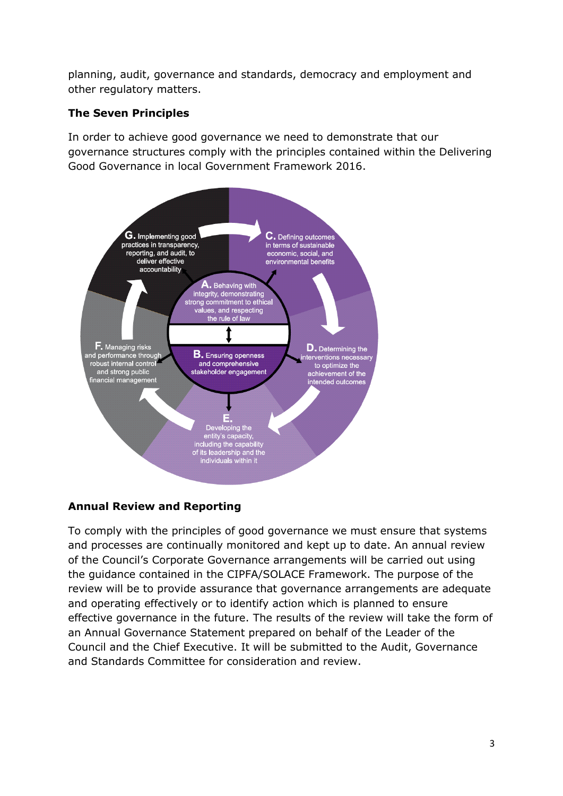planning, audit, governance and standards, democracy and employment and other regulatory matters.

#### **The Seven Principles**

In order to achieve good governance we need to demonstrate that our governance structures comply with the principles contained within the Delivering Good Governance in local Government Framework 2016.



### **Annual Review and Reporting**

To comply with the principles of good governance we must ensure that systems and processes are continually monitored and kept up to date. An annual review of the Council's Corporate Governance arrangements will be carried out using the guidance contained in the CIPFA/SOLACE Framework. The purpose of the review will be to provide assurance that governance arrangements are adequate and operating effectively or to identify action which is planned to ensure effective governance in the future. The results of the review will take the form of an Annual Governance Statement prepared on behalf of the Leader of the Council and the Chief Executive. It will be submitted to the Audit, Governance and Standards Committee for consideration and review.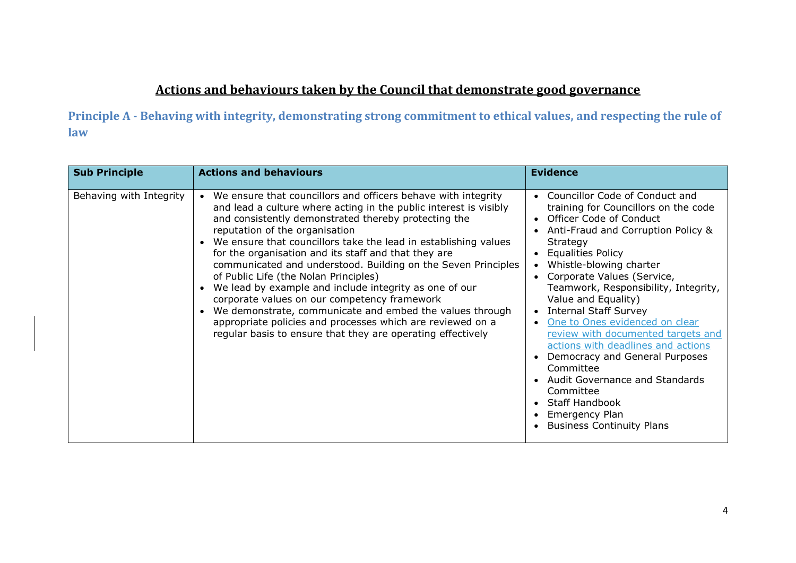# **Actions and behaviours taken by the Council that demonstrate good governance**

**Principle A - Behaving with integrity, demonstrating strong commitment to ethical values, and respecting the rule of law**

| <b>Sub Principle</b>    | <b>Actions and behaviours</b>                                                                                                                                                                                                                                                                                                                                                                                                                                                                                                                                                                                                                                                                                                                                        | <b>Evidence</b>                                                                                                                                                                                                                                                                                                                                                                                                                                                                                                                                                                                                                             |
|-------------------------|----------------------------------------------------------------------------------------------------------------------------------------------------------------------------------------------------------------------------------------------------------------------------------------------------------------------------------------------------------------------------------------------------------------------------------------------------------------------------------------------------------------------------------------------------------------------------------------------------------------------------------------------------------------------------------------------------------------------------------------------------------------------|---------------------------------------------------------------------------------------------------------------------------------------------------------------------------------------------------------------------------------------------------------------------------------------------------------------------------------------------------------------------------------------------------------------------------------------------------------------------------------------------------------------------------------------------------------------------------------------------------------------------------------------------|
| Behaving with Integrity | We ensure that councillors and officers behave with integrity<br>and lead a culture where acting in the public interest is visibly<br>and consistently demonstrated thereby protecting the<br>reputation of the organisation<br>We ensure that councillors take the lead in establishing values<br>for the organisation and its staff and that they are<br>communicated and understood. Building on the Seven Principles<br>of Public Life (the Nolan Principles)<br>We lead by example and include integrity as one of our<br>corporate values on our competency framework<br>We demonstrate, communicate and embed the values through<br>appropriate policies and processes which are reviewed on a<br>regular basis to ensure that they are operating effectively | Councillor Code of Conduct and<br>training for Councillors on the code<br>• Officer Code of Conduct<br>Anti-Fraud and Corruption Policy &<br>Strategy<br><b>Equalities Policy</b><br>Whistle-blowing charter<br>Corporate Values (Service,<br>Teamwork, Responsibility, Integrity,<br>Value and Equality)<br><b>Internal Staff Survey</b><br>One to Ones evidenced on clear<br>review with documented targets and<br>actions with deadlines and actions<br>Democracy and General Purposes<br>Committee<br>Audit Governance and Standards<br>Committee<br><b>Staff Handbook</b><br><b>Emergency Plan</b><br><b>Business Continuity Plans</b> |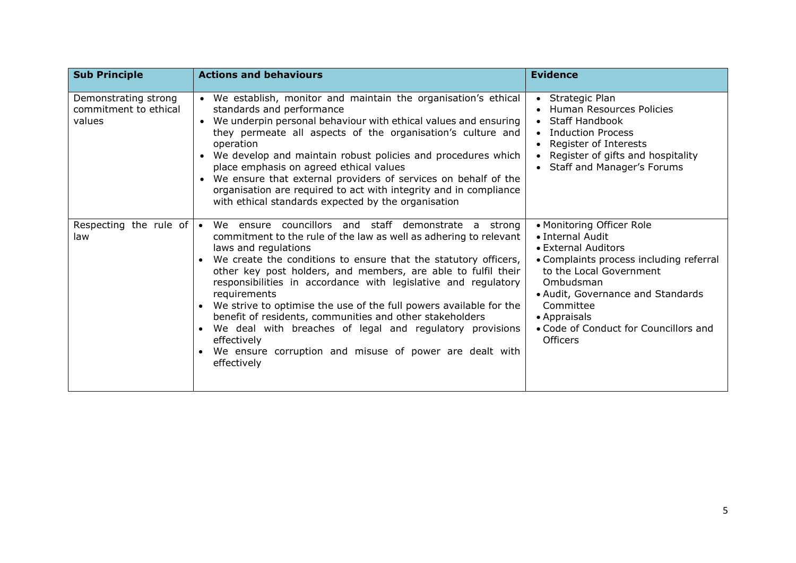| <b>Sub Principle</b>                                    | <b>Actions and behaviours</b>                                                                                                                                                                                                                                                                                                                                                                                                                                                                                                                                                                                                                                               | <b>Evidence</b>                                                                                                                                                                                                                                                                       |
|---------------------------------------------------------|-----------------------------------------------------------------------------------------------------------------------------------------------------------------------------------------------------------------------------------------------------------------------------------------------------------------------------------------------------------------------------------------------------------------------------------------------------------------------------------------------------------------------------------------------------------------------------------------------------------------------------------------------------------------------------|---------------------------------------------------------------------------------------------------------------------------------------------------------------------------------------------------------------------------------------------------------------------------------------|
| Demonstrating strong<br>commitment to ethical<br>values | • We establish, monitor and maintain the organisation's ethical<br>standards and performance<br>We underpin personal behaviour with ethical values and ensuring<br>$\bullet$<br>they permeate all aspects of the organisation's culture and<br>operation<br>We develop and maintain robust policies and procedures which<br>$\bullet$<br>place emphasis on agreed ethical values<br>We ensure that external providers of services on behalf of the<br>organisation are required to act with integrity and in compliance<br>with ethical standards expected by the organisation                                                                                              | • Strategic Plan<br><b>Human Resources Policies</b><br><b>Staff Handbook</b><br>$\bullet$<br><b>Induction Process</b><br>Register of Interests<br>Register of gifts and hospitality<br>• Staff and Manager's Forums                                                                   |
| Respecting the rule of<br>law                           | We ensure councillors and staff demonstrate a strong<br>$\bullet$<br>commitment to the rule of the law as well as adhering to relevant<br>laws and regulations<br>We create the conditions to ensure that the statutory officers,<br>other key post holders, and members, are able to fulfil their<br>responsibilities in accordance with legislative and regulatory<br>requirements<br>We strive to optimise the use of the full powers available for the<br>benefit of residents, communities and other stakeholders<br>We deal with breaches of legal and regulatory provisions<br>effectively<br>We ensure corruption and misuse of power are dealt with<br>effectively | • Monitoring Officer Role<br>• Internal Audit<br>• External Auditors<br>• Complaints process including referral<br>to the Local Government<br>Ombudsman<br>• Audit, Governance and Standards<br>Committee<br>• Appraisals<br>• Code of Conduct for Councillors and<br><b>Officers</b> |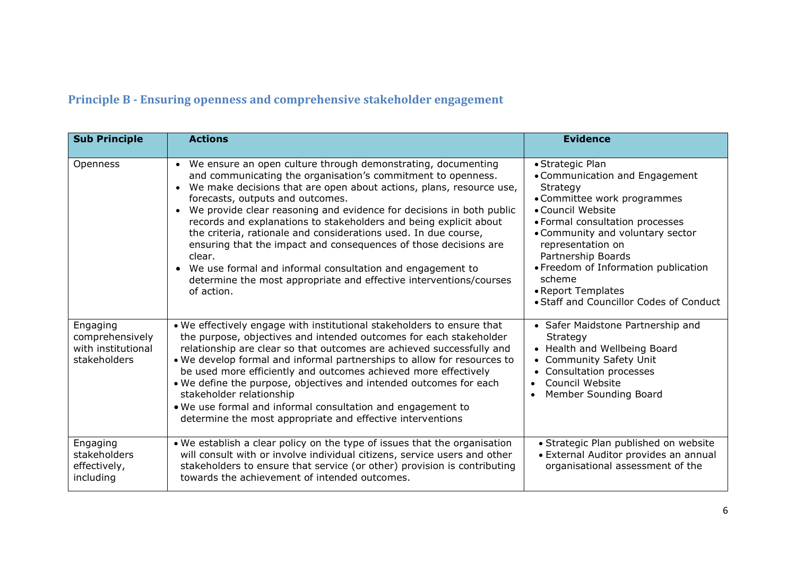# **Principle B - Ensuring openness and comprehensive stakeholder engagement**

| <b>Sub Principle</b>                                              | <b>Actions</b>                                                                                                                                                                                                                                                                                                                                                                                                                                                                                                                                                                                                                                                                                        | <b>Evidence</b>                                                                                                                                                                                                                                                                                                                                         |
|-------------------------------------------------------------------|-------------------------------------------------------------------------------------------------------------------------------------------------------------------------------------------------------------------------------------------------------------------------------------------------------------------------------------------------------------------------------------------------------------------------------------------------------------------------------------------------------------------------------------------------------------------------------------------------------------------------------------------------------------------------------------------------------|---------------------------------------------------------------------------------------------------------------------------------------------------------------------------------------------------------------------------------------------------------------------------------------------------------------------------------------------------------|
| Openness                                                          | • We ensure an open culture through demonstrating, documenting<br>and communicating the organisation's commitment to openness.<br>We make decisions that are open about actions, plans, resource use,<br>$\bullet$<br>forecasts, outputs and outcomes.<br>We provide clear reasoning and evidence for decisions in both public<br>records and explanations to stakeholders and being explicit about<br>the criteria, rationale and considerations used. In due course,<br>ensuring that the impact and consequences of those decisions are<br>clear.<br>We use formal and informal consultation and engagement to<br>determine the most appropriate and effective interventions/courses<br>of action. | • Strategic Plan<br>• Communication and Engagement<br>Strategy<br>• Committee work programmes<br>• Council Website<br>• Formal consultation processes<br>• Community and voluntary sector<br>representation on<br>Partnership Boards<br>• Freedom of Information publication<br>scheme<br>• Report Templates<br>• Staff and Councillor Codes of Conduct |
| Engaging<br>comprehensively<br>with institutional<br>stakeholders | . We effectively engage with institutional stakeholders to ensure that<br>the purpose, objectives and intended outcomes for each stakeholder<br>relationship are clear so that outcomes are achieved successfully and<br>. We develop formal and informal partnerships to allow for resources to<br>be used more efficiently and outcomes achieved more effectively<br>. We define the purpose, objectives and intended outcomes for each<br>stakeholder relationship<br>. We use formal and informal consultation and engagement to<br>determine the most appropriate and effective interventions                                                                                                    | • Safer Maidstone Partnership and<br>Strategy<br>• Health and Wellbeing Board<br><b>Community Safety Unit</b><br>Consultation processes<br>Council Website<br>$\bullet$<br>Member Sounding Board<br>$\bullet$                                                                                                                                           |
| Engaging<br>stakeholders<br>effectively,<br>including             | . We establish a clear policy on the type of issues that the organisation<br>will consult with or involve individual citizens, service users and other<br>stakeholders to ensure that service (or other) provision is contributing<br>towards the achievement of intended outcomes.                                                                                                                                                                                                                                                                                                                                                                                                                   | • Strategic Plan published on website<br>• External Auditor provides an annual<br>organisational assessment of the                                                                                                                                                                                                                                      |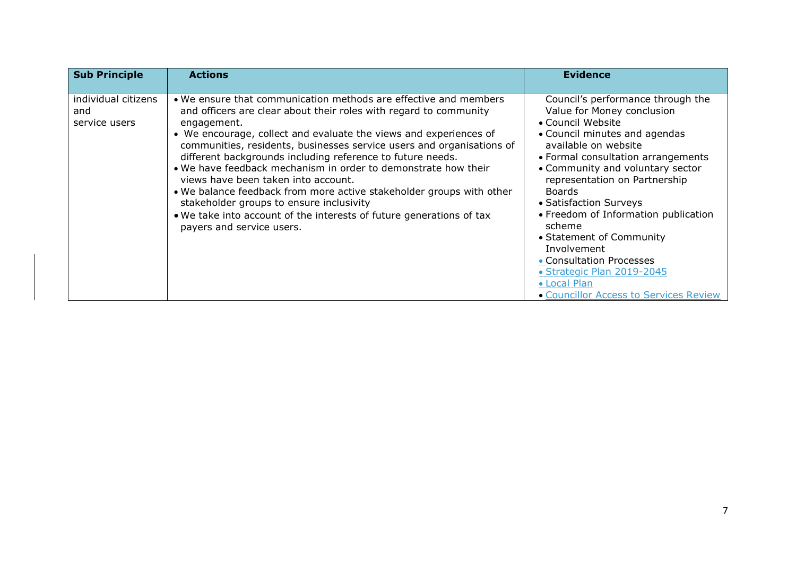| <b>Sub Principle</b>                        | <b>Actions</b>                                                                                                                                                                                                                                                                                                                                                                                                                                                                                                                                                                                                                                                                                     | <b>Evidence</b>                                                                                                                                                                                                                                                                                                                                                                                                                                                                                                      |
|---------------------------------------------|----------------------------------------------------------------------------------------------------------------------------------------------------------------------------------------------------------------------------------------------------------------------------------------------------------------------------------------------------------------------------------------------------------------------------------------------------------------------------------------------------------------------------------------------------------------------------------------------------------------------------------------------------------------------------------------------------|----------------------------------------------------------------------------------------------------------------------------------------------------------------------------------------------------------------------------------------------------------------------------------------------------------------------------------------------------------------------------------------------------------------------------------------------------------------------------------------------------------------------|
| individual citizens<br>and<br>service users | . We ensure that communication methods are effective and members<br>and officers are clear about their roles with regard to community<br>engagement.<br>• We encourage, collect and evaluate the views and experiences of<br>communities, residents, businesses service users and organisations of<br>different backgrounds including reference to future needs.<br>. We have feedback mechanism in order to demonstrate how their<br>views have been taken into account.<br>• We balance feedback from more active stakeholder groups with other<br>stakeholder groups to ensure inclusivity<br>• We take into account of the interests of future generations of tax<br>payers and service users. | Council's performance through the<br>Value for Money conclusion<br>• Council Website<br>• Council minutes and agendas<br>available on website<br>• Formal consultation arrangements<br>• Community and voluntary sector<br>representation on Partnership<br><b>Boards</b><br>• Satisfaction Surveys<br>• Freedom of Information publication<br>scheme<br>• Statement of Community<br>Involvement<br>• Consultation Processes<br>• Strategic Plan 2019-2045<br>• Local Plan<br>• Councillor Access to Services Review |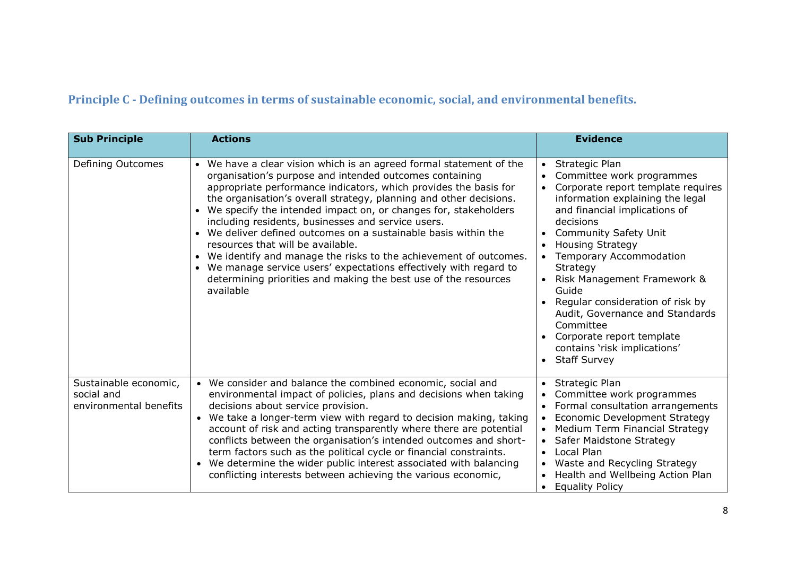# **Principle C - Defining outcomes in terms of sustainable economic, social, and environmental benefits.**

| <b>Sub Principle</b>                                          | <b>Actions</b>                                                                                                                                                                                                                                                                                                                                                                                                                                                                                                                                                                                                                                                                                                                             | <b>Evidence</b>                                                                                                                                                                                                                                                                                                                                                                                                                                                                                    |
|---------------------------------------------------------------|--------------------------------------------------------------------------------------------------------------------------------------------------------------------------------------------------------------------------------------------------------------------------------------------------------------------------------------------------------------------------------------------------------------------------------------------------------------------------------------------------------------------------------------------------------------------------------------------------------------------------------------------------------------------------------------------------------------------------------------------|----------------------------------------------------------------------------------------------------------------------------------------------------------------------------------------------------------------------------------------------------------------------------------------------------------------------------------------------------------------------------------------------------------------------------------------------------------------------------------------------------|
| Defining Outcomes                                             | We have a clear vision which is an agreed formal statement of the<br>organisation's purpose and intended outcomes containing<br>appropriate performance indicators, which provides the basis for<br>the organisation's overall strategy, planning and other decisions.<br>We specify the intended impact on, or changes for, stakeholders<br>including residents, businesses and service users.<br>We deliver defined outcomes on a sustainable basis within the<br>resources that will be available.<br>We identify and manage the risks to the achievement of outcomes.<br>We manage service users' expectations effectively with regard to<br>$\bullet$<br>determining priorities and making the best use of the resources<br>available | Strategic Plan<br>Committee work programmes<br>Corporate report template requires<br>information explaining the legal<br>and financial implications of<br>decisions<br><b>Community Safety Unit</b><br><b>Housing Strategy</b><br>Temporary Accommodation<br>Strategy<br>Risk Management Framework &<br>Guide<br>Regular consideration of risk by<br>Audit, Governance and Standards<br>Committee<br>Corporate report template<br>contains 'risk implications'<br><b>Staff Survey</b><br>$\bullet$ |
| Sustainable economic,<br>social and<br>environmental benefits | • We consider and balance the combined economic, social and<br>environmental impact of policies, plans and decisions when taking<br>decisions about service provision.<br>• We take a longer-term view with regard to decision making, taking<br>account of risk and acting transparently where there are potential<br>conflicts between the organisation's intended outcomes and short-<br>term factors such as the political cycle or financial constraints.<br>We determine the wider public interest associated with balancing<br>conflicting interests between achieving the various economic,                                                                                                                                        | Strategic Plan<br>Committee work programmes<br>Formal consultation arrangements<br>Economic Development Strategy<br>Medium Term Financial Strategy<br>Safer Maidstone Strategy<br>Local Plan<br>$\bullet$<br>Waste and Recycling Strategy<br>Health and Wellbeing Action Plan<br><b>Equality Policy</b>                                                                                                                                                                                            |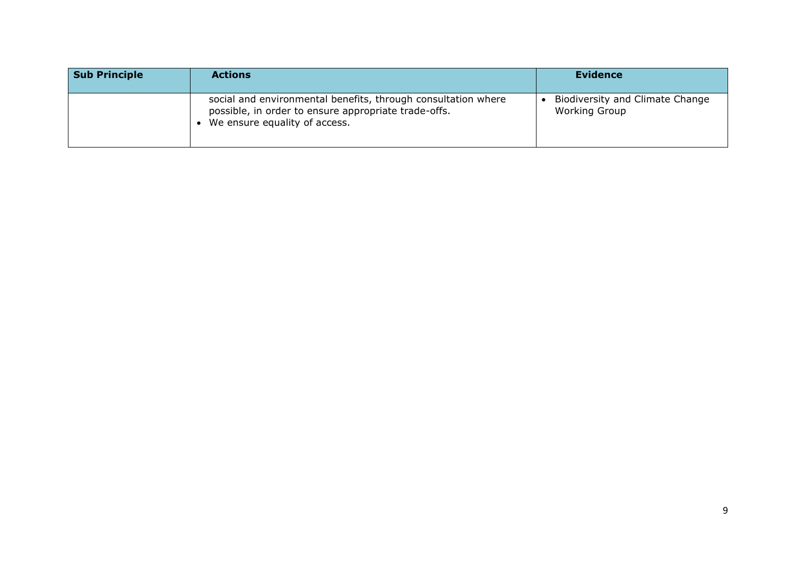| <b>Sub Principle</b> | <b>Actions</b>                                                                                                                                         | <b>Evidence</b>                                         |
|----------------------|--------------------------------------------------------------------------------------------------------------------------------------------------------|---------------------------------------------------------|
|                      | social and environmental benefits, through consultation where<br>possible, in order to ensure appropriate trade-offs.<br>We ensure equality of access. | Biodiversity and Climate Change<br><b>Working Group</b> |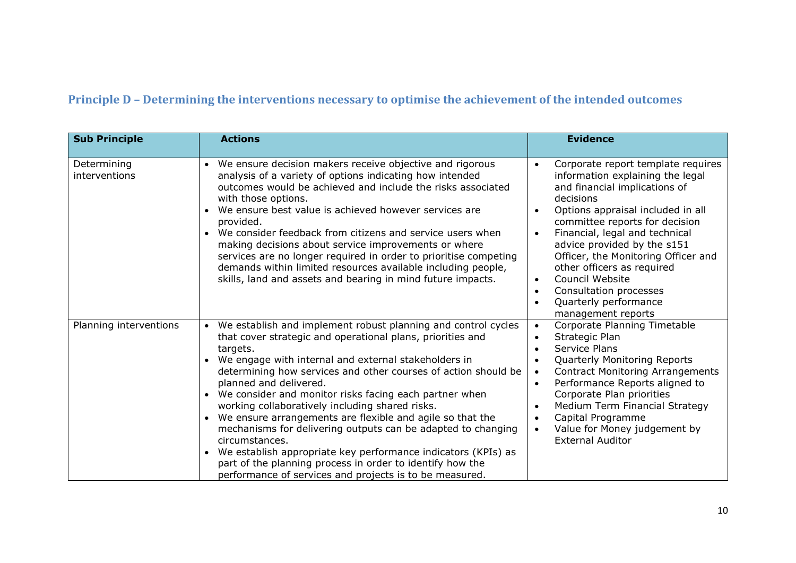## **Principle D – Determining the interventions necessary to optimise the achievement of the intended outcomes**

| <b>Sub Principle</b>         | <b>Actions</b>                                                                                                                                                                                                                                                                                                                                                                                                                                                                                                                                                                                                                                                                                                                                                               | <b>Evidence</b>                                                                                                                                                                                                                                                                                                                                                                                                                                                      |
|------------------------------|------------------------------------------------------------------------------------------------------------------------------------------------------------------------------------------------------------------------------------------------------------------------------------------------------------------------------------------------------------------------------------------------------------------------------------------------------------------------------------------------------------------------------------------------------------------------------------------------------------------------------------------------------------------------------------------------------------------------------------------------------------------------------|----------------------------------------------------------------------------------------------------------------------------------------------------------------------------------------------------------------------------------------------------------------------------------------------------------------------------------------------------------------------------------------------------------------------------------------------------------------------|
| Determining<br>interventions | We ensure decision makers receive objective and rigorous<br>analysis of a variety of options indicating how intended<br>outcomes would be achieved and include the risks associated<br>with those options.<br>We ensure best value is achieved however services are<br>provided.<br>We consider feedback from citizens and service users when<br>making decisions about service improvements or where<br>services are no longer required in order to prioritise competing<br>demands within limited resources available including people,<br>skills, land and assets and bearing in mind future impacts.                                                                                                                                                                     | Corporate report template requires<br>information explaining the legal<br>and financial implications of<br>decisions<br>Options appraisal included in all<br>committee reports for decision<br>Financial, legal and technical<br>$\bullet$<br>advice provided by the s151<br>Officer, the Monitoring Officer and<br>other officers as required<br>Council Website<br>$\bullet$<br>Consultation processes<br>$\bullet$<br>Quarterly performance<br>management reports |
| Planning interventions       | • We establish and implement robust planning and control cycles<br>that cover strategic and operational plans, priorities and<br>targets.<br>We engage with internal and external stakeholders in<br>determining how services and other courses of action should be<br>planned and delivered.<br>We consider and monitor risks facing each partner when<br>$\bullet$<br>working collaboratively including shared risks.<br>We ensure arrangements are flexible and agile so that the<br>$\bullet$<br>mechanisms for delivering outputs can be adapted to changing<br>circumstances.<br>We establish appropriate key performance indicators (KPIs) as<br>part of the planning process in order to identify how the<br>performance of services and projects is to be measured. | Corporate Planning Timetable<br>$\bullet$<br>Strategic Plan<br>$\bullet$<br>Service Plans<br>Quarterly Monitoring Reports<br><b>Contract Monitoring Arrangements</b><br>$\bullet$<br>Performance Reports aligned to<br>$\bullet$<br>Corporate Plan priorities<br>Medium Term Financial Strategy<br>$\bullet$<br>Capital Programme<br>$\bullet$<br>Value for Money judgement by<br><b>External Auditor</b>                                                            |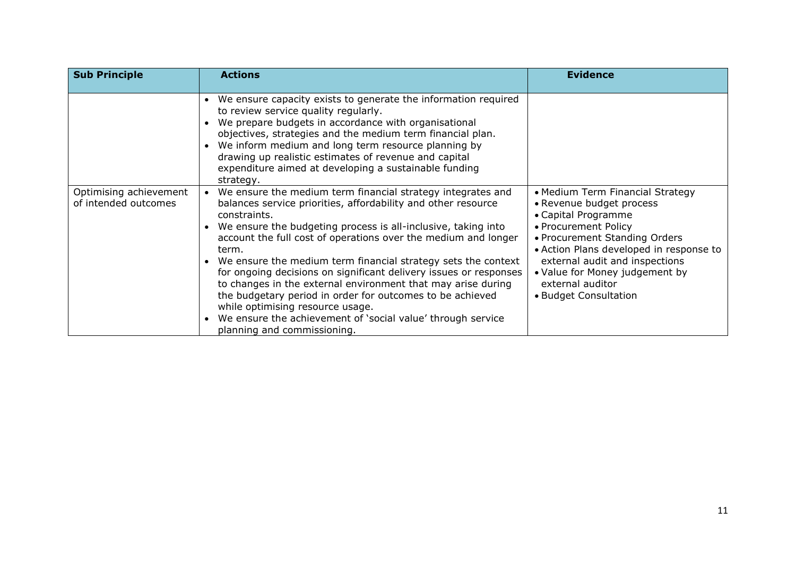| <b>Sub Principle</b>                           | <b>Actions</b>                                                                                                                                                                                                                                                                                                                                                                                                                                                                                                                                                                                                                                                                                | <b>Evidence</b>                                                                                                                                                                                                                                                                                          |
|------------------------------------------------|-----------------------------------------------------------------------------------------------------------------------------------------------------------------------------------------------------------------------------------------------------------------------------------------------------------------------------------------------------------------------------------------------------------------------------------------------------------------------------------------------------------------------------------------------------------------------------------------------------------------------------------------------------------------------------------------------|----------------------------------------------------------------------------------------------------------------------------------------------------------------------------------------------------------------------------------------------------------------------------------------------------------|
|                                                | We ensure capacity exists to generate the information required<br>to review service quality regularly.<br>We prepare budgets in accordance with organisational<br>objectives, strategies and the medium term financial plan.<br>We inform medium and long term resource planning by<br>drawing up realistic estimates of revenue and capital<br>expenditure aimed at developing a sustainable funding<br>strategy.                                                                                                                                                                                                                                                                            |                                                                                                                                                                                                                                                                                                          |
| Optimising achievement<br>of intended outcomes | We ensure the medium term financial strategy integrates and<br>balances service priorities, affordability and other resource<br>constraints.<br>We ensure the budgeting process is all-inclusive, taking into<br>account the full cost of operations over the medium and longer<br>term.<br>We ensure the medium term financial strategy sets the context<br>for ongoing decisions on significant delivery issues or responses<br>to changes in the external environment that may arise during<br>the budgetary period in order for outcomes to be achieved<br>while optimising resource usage.<br>We ensure the achievement of 'social value' through service<br>planning and commissioning. | • Medium Term Financial Strategy<br>• Revenue budget process<br>• Capital Programme<br>• Procurement Policy<br>• Procurement Standing Orders<br>• Action Plans developed in response to<br>external audit and inspections<br>• Value for Money judgement by<br>external auditor<br>• Budget Consultation |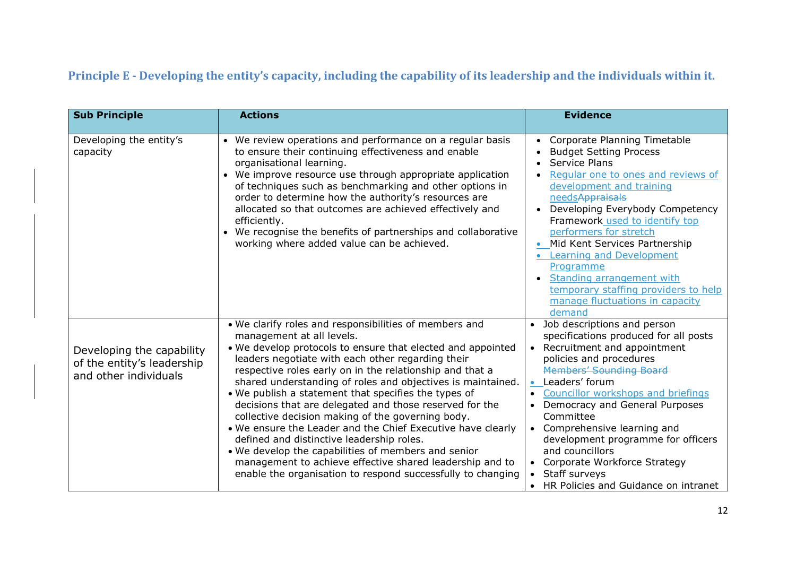# **Principle E - Developing the entity's capacity, including the capability of its leadership and the individuals within it.**

| <b>Sub Principle</b>                                                             | <b>Actions</b>                                                                                                                                                                                                                                                                                                                                                                                                                                                                                                                                                                                                                                                                                                                                                                                           | <b>Evidence</b>                                                                                                                                                                                                                                                                                                                                                                                                                                                                                               |
|----------------------------------------------------------------------------------|----------------------------------------------------------------------------------------------------------------------------------------------------------------------------------------------------------------------------------------------------------------------------------------------------------------------------------------------------------------------------------------------------------------------------------------------------------------------------------------------------------------------------------------------------------------------------------------------------------------------------------------------------------------------------------------------------------------------------------------------------------------------------------------------------------|---------------------------------------------------------------------------------------------------------------------------------------------------------------------------------------------------------------------------------------------------------------------------------------------------------------------------------------------------------------------------------------------------------------------------------------------------------------------------------------------------------------|
| Developing the entity's<br>capacity                                              | • We review operations and performance on a regular basis<br>to ensure their continuing effectiveness and enable<br>organisational learning.<br>• We improve resource use through appropriate application<br>of techniques such as benchmarking and other options in<br>order to determine how the authority's resources are<br>allocated so that outcomes are achieved effectively and<br>efficiently.<br>We recognise the benefits of partnerships and collaborative<br>$\bullet$<br>working where added value can be achieved.                                                                                                                                                                                                                                                                        | Corporate Planning Timetable<br><b>Budget Setting Process</b><br>Service Plans<br>Regular one to ones and reviews of<br>development and training<br>needsAppraisals<br>Developing Everybody Competency<br>Framework used to identify top<br>performers for stretch<br>Mid Kent Services Partnership<br><b>Learning and Development</b><br>Programme<br>Standing arrangement with<br>temporary staffing providers to help<br>manage fluctuations in capacity<br>demand                                         |
| Developing the capability<br>of the entity's leadership<br>and other individuals | . We clarify roles and responsibilities of members and<br>management at all levels.<br>. We develop protocols to ensure that elected and appointed<br>leaders negotiate with each other regarding their<br>respective roles early on in the relationship and that a<br>shared understanding of roles and objectives is maintained.<br>. We publish a statement that specifies the types of<br>decisions that are delegated and those reserved for the<br>collective decision making of the governing body.<br>. We ensure the Leader and the Chief Executive have clearly<br>defined and distinctive leadership roles.<br>. We develop the capabilities of members and senior<br>management to achieve effective shared leadership and to<br>enable the organisation to respond successfully to changing | Job descriptions and person<br>$\bullet$<br>specifications produced for all posts<br>Recruitment and appointment<br>$\bullet$<br>policies and procedures<br><b>Members' Sounding Board</b><br>Leaders' forum<br>$\bullet$<br>Councillor workshops and briefings<br>Democracy and General Purposes<br>Committee<br>• Comprehensive learning and<br>development programme for officers<br>and councillors<br>Corporate Workforce Strategy<br>Staff surveys<br>HR Policies and Guidance on intranet<br>$\bullet$ |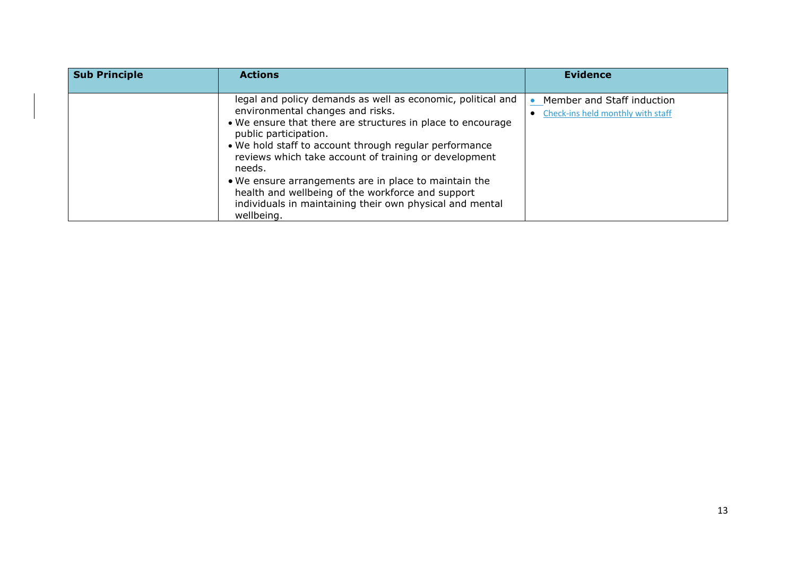| <b>Sub Principle</b> | <b>Actions</b>                                                                                                                                                                                                                                                                                                                                                                                                                                                                                               | <b>Evidence</b>                                                 |
|----------------------|--------------------------------------------------------------------------------------------------------------------------------------------------------------------------------------------------------------------------------------------------------------------------------------------------------------------------------------------------------------------------------------------------------------------------------------------------------------------------------------------------------------|-----------------------------------------------------------------|
|                      | legal and policy demands as well as economic, political and<br>environmental changes and risks.<br>• We ensure that there are structures in place to encourage<br>public participation.<br>• We hold staff to account through regular performance<br>reviews which take account of training or development<br>needs.<br>• We ensure arrangements are in place to maintain the<br>health and wellbeing of the workforce and support<br>individuals in maintaining their own physical and mental<br>wellbeing. | Member and Staff induction<br>Check-ins held monthly with staff |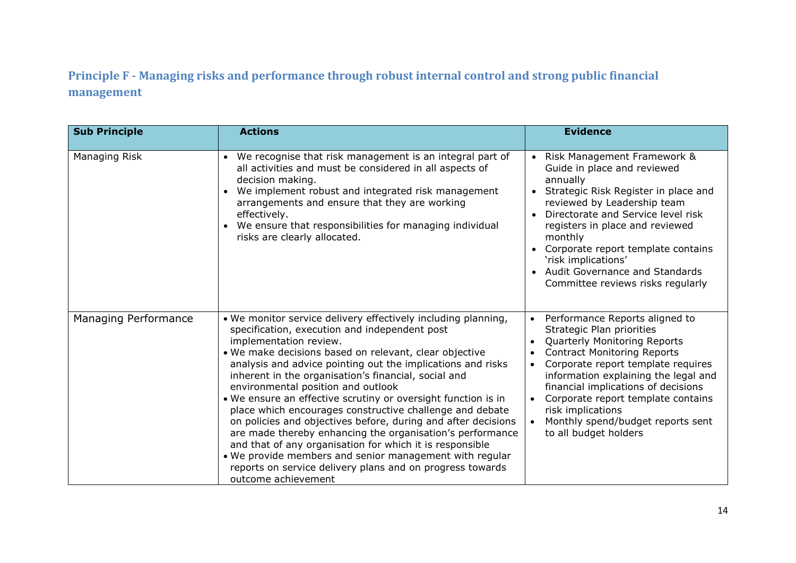## **Principle F - Managing risks and performance through robust internal control and strong public financial management**

| <b>Sub Principle</b> | <b>Actions</b>                                                                                                                                                                                                                                                                                                                                                                                                                                                                                                                                                                                                                                                                                                                                                                                                                        | <b>Evidence</b>                                                                                                                                                                                                                                                                                                                                                                                                                            |
|----------------------|---------------------------------------------------------------------------------------------------------------------------------------------------------------------------------------------------------------------------------------------------------------------------------------------------------------------------------------------------------------------------------------------------------------------------------------------------------------------------------------------------------------------------------------------------------------------------------------------------------------------------------------------------------------------------------------------------------------------------------------------------------------------------------------------------------------------------------------|--------------------------------------------------------------------------------------------------------------------------------------------------------------------------------------------------------------------------------------------------------------------------------------------------------------------------------------------------------------------------------------------------------------------------------------------|
| Managing Risk        | • We recognise that risk management is an integral part of<br>all activities and must be considered in all aspects of<br>decision making.<br>We implement robust and integrated risk management<br>$\bullet$<br>arrangements and ensure that they are working<br>effectively.<br>• We ensure that responsibilities for managing individual<br>risks are clearly allocated.                                                                                                                                                                                                                                                                                                                                                                                                                                                            | Risk Management Framework &<br>Guide in place and reviewed<br>annually<br>Strategic Risk Register in place and<br>reviewed by Leadership team<br>Directorate and Service level risk<br>registers in place and reviewed<br>monthly<br>Corporate report template contains<br>'risk implications'<br>Audit Governance and Standards<br>Committee reviews risks regularly                                                                      |
| Managing Performance | . We monitor service delivery effectively including planning,<br>specification, execution and independent post<br>implementation review.<br>. We make decisions based on relevant, clear objective<br>analysis and advice pointing out the implications and risks<br>inherent in the organisation's financial, social and<br>environmental position and outlook<br>. We ensure an effective scrutiny or oversight function is in<br>place which encourages constructive challenge and debate<br>on policies and objectives before, during and after decisions<br>are made thereby enhancing the organisation's performance<br>and that of any organisation for which it is responsible<br>. We provide members and senior management with regular<br>reports on service delivery plans and on progress towards<br>outcome achievement | Performance Reports aligned to<br>$\bullet$<br>Strategic Plan priorities<br><b>Quarterly Monitoring Reports</b><br>$\bullet$<br><b>Contract Monitoring Reports</b><br>$\bullet$<br>Corporate report template requires<br>$\bullet$<br>information explaining the legal and<br>financial implications of decisions<br>Corporate report template contains<br>risk implications<br>Monthly spend/budget reports sent<br>to all budget holders |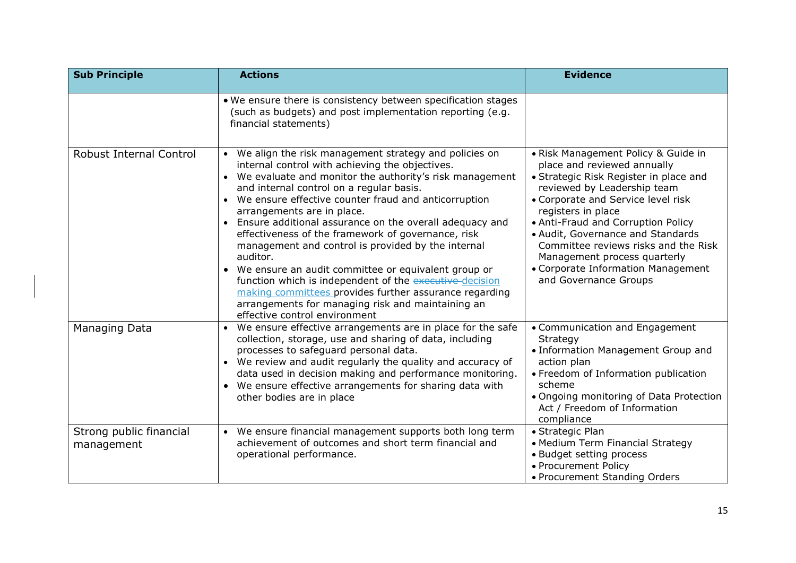| <b>Sub Principle</b>                  | <b>Actions</b>                                                                                                                                                                                                                                                                                                                                                                                                                                                                                                                                                                                                                                                                                                                                                       | <b>Evidence</b>                                                                                                                                                                                                                                                                                                                                                                                                           |
|---------------------------------------|----------------------------------------------------------------------------------------------------------------------------------------------------------------------------------------------------------------------------------------------------------------------------------------------------------------------------------------------------------------------------------------------------------------------------------------------------------------------------------------------------------------------------------------------------------------------------------------------------------------------------------------------------------------------------------------------------------------------------------------------------------------------|---------------------------------------------------------------------------------------------------------------------------------------------------------------------------------------------------------------------------------------------------------------------------------------------------------------------------------------------------------------------------------------------------------------------------|
|                                       | . We ensure there is consistency between specification stages<br>(such as budgets) and post implementation reporting (e.g.<br>financial statements)                                                                                                                                                                                                                                                                                                                                                                                                                                                                                                                                                                                                                  |                                                                                                                                                                                                                                                                                                                                                                                                                           |
| <b>Robust Internal Control</b>        | • We align the risk management strategy and policies on<br>internal control with achieving the objectives.<br>• We evaluate and monitor the authority's risk management<br>and internal control on a regular basis.<br>• We ensure effective counter fraud and anticorruption<br>arrangements are in place.<br>• Ensure additional assurance on the overall adequacy and<br>effectiveness of the framework of governance, risk<br>management and control is provided by the internal<br>auditor.<br>• We ensure an audit committee or equivalent group or<br>function which is independent of the executive-decision<br>making committees provides further assurance regarding<br>arrangements for managing risk and maintaining an<br>effective control environment | • Risk Management Policy & Guide in<br>place and reviewed annually<br>• Strategic Risk Register in place and<br>reviewed by Leadership team<br>• Corporate and Service level risk<br>registers in place<br>• Anti-Fraud and Corruption Policy<br>• Audit, Governance and Standards<br>Committee reviews risks and the Risk<br>Management process quarterly<br>• Corporate Information Management<br>and Governance Groups |
| <b>Managing Data</b>                  | • We ensure effective arrangements are in place for the safe<br>collection, storage, use and sharing of data, including<br>processes to safeguard personal data.<br>• We review and audit regularly the quality and accuracy of<br>data used in decision making and performance monitoring.<br>• We ensure effective arrangements for sharing data with<br>other bodies are in place                                                                                                                                                                                                                                                                                                                                                                                 | • Communication and Engagement<br>Strategy<br>• Information Management Group and<br>action plan<br>• Freedom of Information publication<br>scheme<br>• Ongoing monitoring of Data Protection<br>Act / Freedom of Information<br>compliance                                                                                                                                                                                |
| Strong public financial<br>management | • We ensure financial management supports both long term<br>achievement of outcomes and short term financial and<br>operational performance.                                                                                                                                                                                                                                                                                                                                                                                                                                                                                                                                                                                                                         | • Strategic Plan<br>• Medium Term Financial Strategy<br>• Budget setting process<br>• Procurement Policy<br>• Procurement Standing Orders                                                                                                                                                                                                                                                                                 |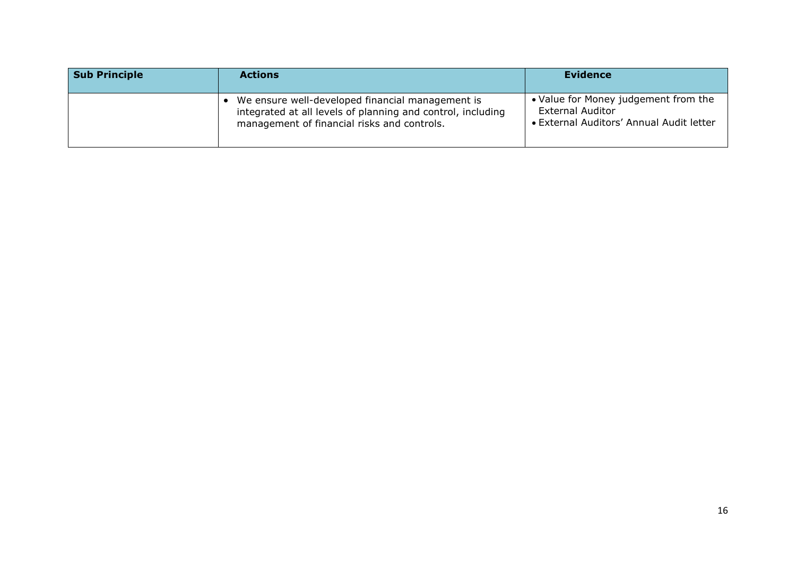| <b>Sub Principle</b> | <b>Actions</b>                                                                                                                                                   | Evidence                                                                                                    |
|----------------------|------------------------------------------------------------------------------------------------------------------------------------------------------------------|-------------------------------------------------------------------------------------------------------------|
|                      | • We ensure well-developed financial management is<br>integrated at all levels of planning and control, including<br>management of financial risks and controls. | • Value for Money judgement from the<br><b>External Auditor</b><br>• External Auditors' Annual Audit letter |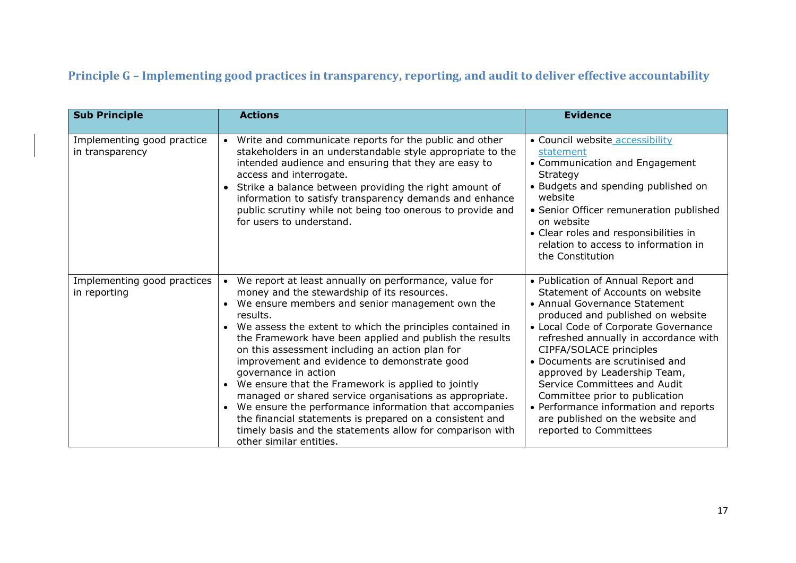# **Principle G – Implementing good practices in transparency, reporting, and audit to deliver effective accountability**

| <b>Sub Principle</b>                          | <b>Actions</b>                                                                                                                                                                                                                                                                                                                                                                                                                                                                                                                                                                                                                                                                                                                                                                        | <b>Evidence</b>                                                                                                                                                                                                                                                                                                                                                                                                                                                                                      |
|-----------------------------------------------|---------------------------------------------------------------------------------------------------------------------------------------------------------------------------------------------------------------------------------------------------------------------------------------------------------------------------------------------------------------------------------------------------------------------------------------------------------------------------------------------------------------------------------------------------------------------------------------------------------------------------------------------------------------------------------------------------------------------------------------------------------------------------------------|------------------------------------------------------------------------------------------------------------------------------------------------------------------------------------------------------------------------------------------------------------------------------------------------------------------------------------------------------------------------------------------------------------------------------------------------------------------------------------------------------|
| Implementing good practice<br>in transparency | Write and communicate reports for the public and other<br>$\bullet$<br>stakeholders in an understandable style appropriate to the<br>intended audience and ensuring that they are easy to<br>access and interrogate.<br>• Strike a balance between providing the right amount of<br>information to satisfy transparency demands and enhance<br>public scrutiny while not being too onerous to provide and<br>for users to understand.                                                                                                                                                                                                                                                                                                                                                 | • Council website accessibility<br>statement<br>• Communication and Engagement<br>Strategy<br>• Budgets and spending published on<br>website<br>• Senior Officer remuneration published<br>on website<br>• Clear roles and responsibilities in<br>relation to access to information in<br>the Constitution                                                                                                                                                                                           |
| Implementing good practices<br>in reporting   | We report at least annually on performance, value for<br>$\bullet$<br>money and the stewardship of its resources.<br>We ensure members and senior management own the<br>$\bullet$<br>results.<br>• We assess the extent to which the principles contained in<br>the Framework have been applied and publish the results<br>on this assessment including an action plan for<br>improvement and evidence to demonstrate good<br>governance in action<br>• We ensure that the Framework is applied to jointly<br>managed or shared service organisations as appropriate.<br>• We ensure the performance information that accompanies<br>the financial statements is prepared on a consistent and<br>timely basis and the statements allow for comparison with<br>other similar entities. | • Publication of Annual Report and<br>Statement of Accounts on website<br>• Annual Governance Statement<br>produced and published on website<br>• Local Code of Corporate Governance<br>refreshed annually in accordance with<br>CIPFA/SOLACE principles<br>• Documents are scrutinised and<br>approved by Leadership Team,<br>Service Committees and Audit<br>Committee prior to publication<br>• Performance information and reports<br>are published on the website and<br>reported to Committees |